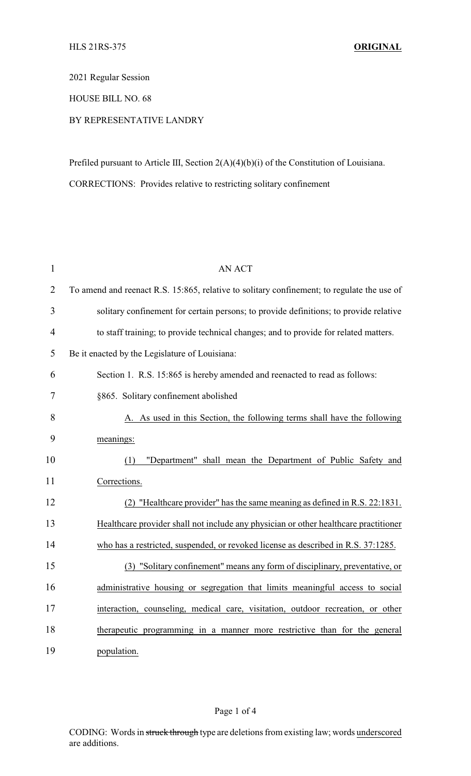2021 Regular Session

HOUSE BILL NO. 68

## BY REPRESENTATIVE LANDRY

Prefiled pursuant to Article III, Section 2(A)(4)(b)(i) of the Constitution of Louisiana. CORRECTIONS: Provides relative to restricting solitary confinement

| $\mathbf{1}$   | <b>AN ACT</b>                                                                              |
|----------------|--------------------------------------------------------------------------------------------|
| $\overline{2}$ | To amend and reenact R.S. 15:865, relative to solitary confinement; to regulate the use of |
| 3              | solitary confinement for certain persons; to provide definitions; to provide relative      |
| $\overline{4}$ | to staff training; to provide technical changes; and to provide for related matters.       |
| 5              | Be it enacted by the Legislature of Louisiana:                                             |
| 6              | Section 1. R.S. 15:865 is hereby amended and reenacted to read as follows:                 |
| 7              | §865. Solitary confinement abolished                                                       |
| 8              | A. As used in this Section, the following terms shall have the following                   |
| 9              | meanings:                                                                                  |
| 10             | "Department" shall mean the Department of Public Safety and<br>(1)                         |
| 11             | Corrections.                                                                               |
| 12             | (2) "Healthcare provider" has the same meaning as defined in R.S. 22:1831.                 |
| 13             | Healthcare provider shall not include any physician or other healthcare practitioner       |
| 14             | who has a restricted, suspended, or revoked license as described in R.S. 37:1285.          |
| 15             | (3) "Solitary confinement" means any form of disciplinary, preventative, or                |
| 16             | administrative housing or segregation that limits meaningful access to social              |
| 17             | interaction, counseling, medical care, visitation, outdoor recreation, or other            |
| 18             | therapeutic programming in a manner more restrictive than for the general                  |
| 19             | population.                                                                                |

## Page 1 of 4

CODING: Words in struck through type are deletions from existing law; words underscored are additions.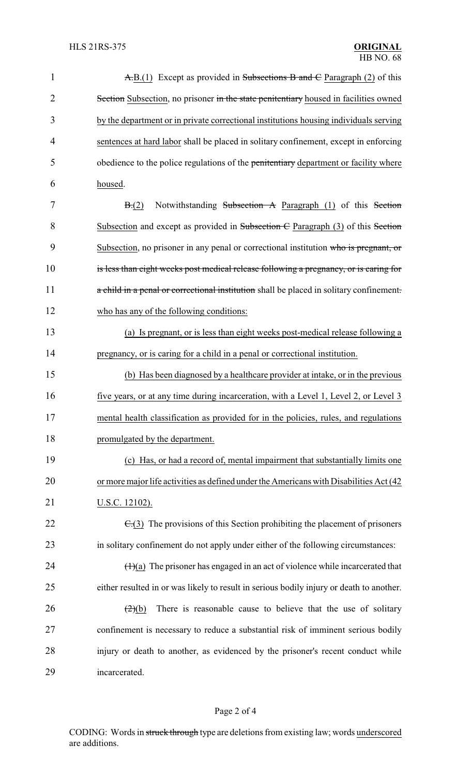| $\mathbf{1}$   | $\overline{A}$ , $B$ .(1) Except as provided in Subsections B and $\overline{C}$ Paragraph (2) of this |  |  |  |
|----------------|--------------------------------------------------------------------------------------------------------|--|--|--|
| $\overline{2}$ | Section Subsection, no prisoner in the state penitentiary housed in facilities owned                   |  |  |  |
| 3              | by the department or in private correctional institutions housing individuals serving                  |  |  |  |
| 4              | sentences at hard labor shall be placed in solitary confinement, except in enforcing                   |  |  |  |
| 5              | obedience to the police regulations of the penitentiary department or facility where                   |  |  |  |
| 6              | housed.                                                                                                |  |  |  |
| 7              | Notwithstanding Subsection A Paragraph (1) of this Section<br>B(2)                                     |  |  |  |
| 8              | Subsection and except as provided in Subsection $\overline{C}$ Paragraph (3) of this Section           |  |  |  |
| 9              | Subsection, no prisoner in any penal or correctional institution who is pregnant, or                   |  |  |  |
| 10             | is less than eight weeks post medical release following a pregnancy, or is caring for                  |  |  |  |
| 11             | a child in a penal or correctional institution shall be placed in solitary confinement.                |  |  |  |
| 12             | who has any of the following conditions:                                                               |  |  |  |
| 13             | (a) Is pregnant, or is less than eight weeks post-medical release following a                          |  |  |  |
| 14             | pregnancy, or is caring for a child in a penal or correctional institution.                            |  |  |  |
| 15             | (b) Has been diagnosed by a healthcare provider at intake, or in the previous                          |  |  |  |
| 16             | five years, or at any time during incarceration, with a Level 1, Level 2, or Level 3                   |  |  |  |
| 17             | mental health classification as provided for in the policies, rules, and regulations                   |  |  |  |
| 18             | promulgated by the department.                                                                         |  |  |  |
| 19             | (c) Has, or had a record of, mental impairment that substantially limits one                           |  |  |  |
| 20             | or more major life activities as defined under the Americans with Disabilities Act (42                 |  |  |  |
| 21             | U.S.C. 12102).                                                                                         |  |  |  |
| 22             | $\epsilon$ (3) The provisions of this Section prohibiting the placement of prisoners                   |  |  |  |
| 23             | in solitary confinement do not apply under either of the following circumstances:                      |  |  |  |
| 24             | $(1)(a)$ The prisoner has engaged in an act of violence while incarcerated that                        |  |  |  |
| 25             | either resulted in or was likely to result in serious bodily injury or death to another.               |  |  |  |
| 26             | There is reasonable cause to believe that the use of solitary<br>(2)(b)                                |  |  |  |
| 27             | confinement is necessary to reduce a substantial risk of imminent serious bodily                       |  |  |  |
| 28             | injury or death to another, as evidenced by the prisoner's recent conduct while                        |  |  |  |
| 29             | incarcerated.                                                                                          |  |  |  |

## Page 2 of 4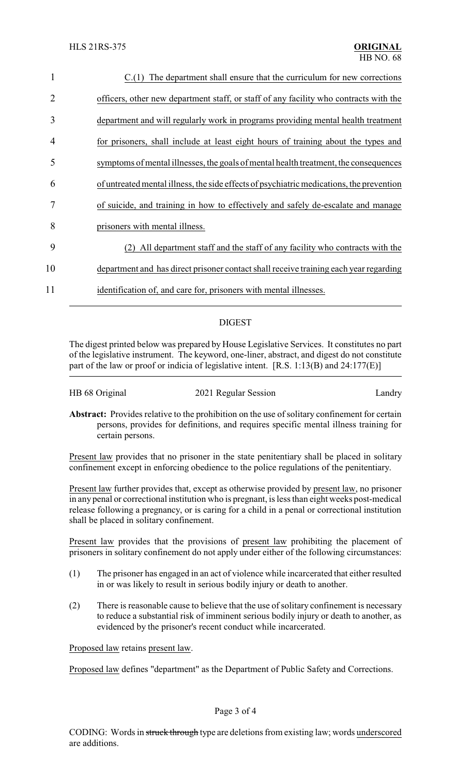| 1  | $C(1)$ The department shall ensure that the curriculum for new corrections               |
|----|------------------------------------------------------------------------------------------|
| 2  | officers, other new department staff, or staff of any facility who contracts with the    |
| 3  | department and will regularly work in programs providing mental health treatment         |
| 4  | for prisoners, shall include at least eight hours of training about the types and        |
| 5  | symptoms of mental illnesses, the goals of mental health treatment, the consequences     |
| 6  | of untreated mental illness, the side effects of psychiatric medications, the prevention |
| 7  | of suicide, and training in how to effectively and safely de-escalate and manage         |
| 8  | prisoners with mental illness.                                                           |
| 9  | All department staff and the staff of any facility who contracts with the<br>(2)         |
| 10 | department and has direct prisoner contact shall receive training each year regarding    |
| 11 | identification of, and care for, prisoners with mental illnesses.                        |

## DIGEST

The digest printed below was prepared by House Legislative Services. It constitutes no part of the legislative instrument. The keyword, one-liner, abstract, and digest do not constitute part of the law or proof or indicia of legislative intent. [R.S. 1:13(B) and 24:177(E)]

| HB 68 Original | 2021 Regular Session | Landry                                                                                               |
|----------------|----------------------|------------------------------------------------------------------------------------------------------|
|                |                      | <b>Abstract:</b> Provides relative to the prohibition on the use of solitary confinement for certain |

persons, provides for definitions, and requires specific mental illness training for certain persons.

Present law provides that no prisoner in the state penitentiary shall be placed in solitary confinement except in enforcing obedience to the police regulations of the penitentiary.

Present law further provides that, except as otherwise provided by present law, no prisoner in any penal or correctional institution who is pregnant, is less than eight weeks post-medical release following a pregnancy, or is caring for a child in a penal or correctional institution shall be placed in solitary confinement.

Present law provides that the provisions of present law prohibiting the placement of prisoners in solitary confinement do not apply under either of the following circumstances:

- (1) The prisoner has engaged in an act of violence while incarcerated that either resulted in or was likely to result in serious bodily injury or death to another.
- (2) There is reasonable cause to believe that the use of solitary confinement is necessary to reduce a substantial risk of imminent serious bodily injury or death to another, as evidenced by the prisoner's recent conduct while incarcerated.

Proposed law retains present law.

Proposed law defines "department" as the Department of Public Safety and Corrections.